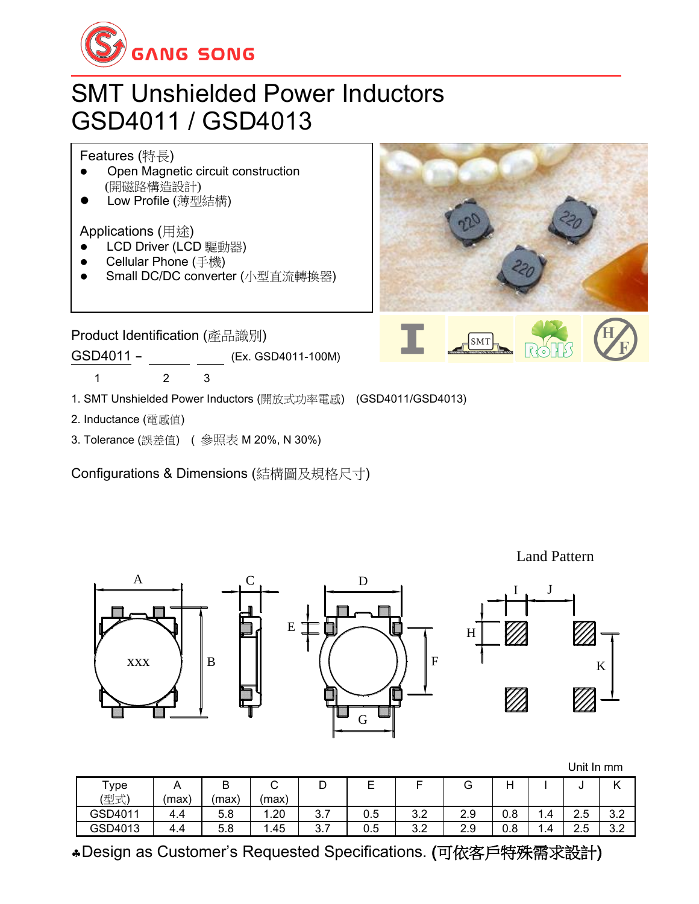

## SMT Unshielded Power Inductors GSD4011 / GSD4013



- 1. SMT Unshielded Power Inductors (開放式功率電感) (GSD4011/GSD4013)
- 2. Inductance (電感值)
- 3. Tolerance (誤差值) ( 參照表 M 20%, N 30%)

Configurations & Dimensions (結構圖及規格尺寸)



Land Pattern



Unit In mm

| $\mathsf{Type}$ |       | ◡    |       | ◡        | –   |           | u   |     |          | ີ         |            |
|-----------------|-------|------|-------|----------|-----|-----------|-----|-----|----------|-----------|------------|
| (型式)            | (max) | max! | (max) |          |     |           |     |     |          |           |            |
| GSD4011         | 4.4   | 5.8  | 1.20  | ◠<br>J.I | 0.5 | つつ<br>J.Z | 2.9 | 0.8 | 1.4      | つに<br>ں.ے | റ റ<br>v.z |
| GSD4013         | 4.4   | 5.8  | 1.45  | ◠<br>J.I | 0.5 | າາ<br>J.Z | 2.9 | 0.8 | -<br>4.۱ | つに<br>ں.ے | റ റ<br>v.z |

Design as Customer's Requested Specifications. (可依客戶特殊需求設計)